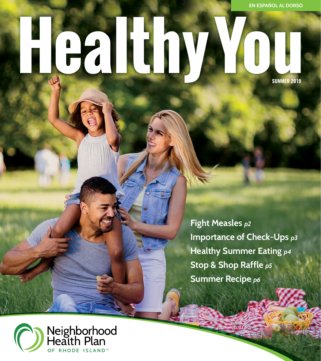# Heilba **SUMMER 2019**

**Fight Measles** *p2*  **Importance of Check-Ups** *p3*  **Healthy Summer Eating** *p4*  **Stop & Shop Raffle** *p5*  **Summer Recipe** *p6* 

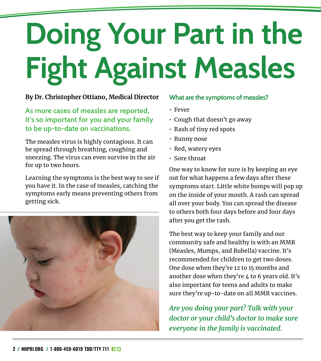# **Doing Your Part in the Fight Against Measles**

#### **By Dr. Christopher Ottiano, Medical Director**

#### **As more cases of measles are reported, it's so important for you and your family to be up-to-date on vaccinations.**

The measles virus is highly contagious. It can be spread through breathing, coughing and sneezing. The virus can even survive in the air for up to two hours.

Learning the symptoms is the best way to see if you have it. In the case of measles, catching the symptoms early means preventing others from getting sick.



#### **What are the symptoms of measles?**

- Fever
- Cough that doesn't go away
- Rash of tiny red spots
- Runny nose
- Red, watery eyes
- Sore throat

One way to know for sure is by keeping an eye out for what happens a few days after these symptoms start. Little white bumps will pop up on the inside of your mouth. A rash can spread all over your body. You can spread the disease to others both four days before and four days after you get the rash.

The best way to keep your family and our community safe and healthy is with an MMR (Measles, Mumps, and Rubella) vaccine. It's recommended for children to get two doses. One dose when they're 12 to 15 months and another dose when they're 4 to 6 years old. It's also important for teens and adults to make sure they're up-to-date on all MMR vaccines.

*Are you doing your part? Talk with your doctor or your child's doctor to make sure everyone in the family is vaccinated.*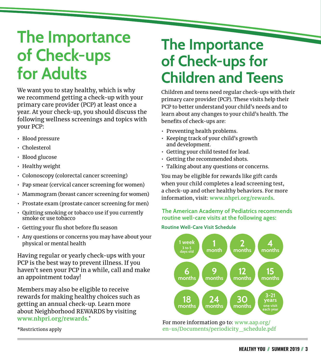## **The Importance of Check-ups for Adults**

We want you to stay healthy, which is why we recommend getting a check-up with your primary care provider (PCP) at least once a year. At your check-up, you should discuss the following wellness screenings and topics with your PCP:

- Blood pressure
- Cholesterol
- Blood glucose
- Healthy weight
- Colonoscopy (colorectal cancer screening)
- Pap smear (cervical cancer screening for women)
- Mammogram (breast cancer screening for women)
- Prostate exam (prostate cancer screening for men)
- Quitting smoking or tobacco use if you currently smoke or use tobacco
- Getting your flu shot before flu season
- Any questions or concerns you may have about your physical or mental health

Having regular or yearly check-ups with your PCP is the best way to prevent illness. If you haven't seen your PCP in a while, call and make an appointment today!

Members may also be eligible to receive rewards for making healthy choices such as getting an annual check-up. Learn more about Neighborhood REWARDS by visiting **[www.nhpri.org/rewards.](http://www.nhpri.org/rewards)**\*

\*Restrictions apply

### **The Importance of Check-ups for Children and Teens**

Children and teens need regular check-ups with their primary care provider (PCP). These visits help their PCP to better understand your child's needs and to learn about any changes to your child's health. The benefits of check-ups are:

- Preventing health problems.
- Keeping track of your child's growth and development.
- Getting your child tested for lead.
- Getting the recommended shots.
- Talking about any questions or concerns.

You may be eligible for rewards like gift cards when your child completes a lead screening test, a check-up and other healthy behaviors. For more information, visit: **[www.nhpri.org/rewards](http://www.nhpri.org/rewards)**.

#### **The American Academy of Pediatrics recommends routine well-care visits at the following ages:**

#### **Routine Well-Care Visit Schedule**



For more information go to: [www.aap.org/](http://www.aap.org/en-us/Documents/periodicity_schedule.pdf) [en-us/Documents/periodicity\\_schedule.pdf](http://www.aap.org/en-us/Documents/periodicity_schedule.pdf)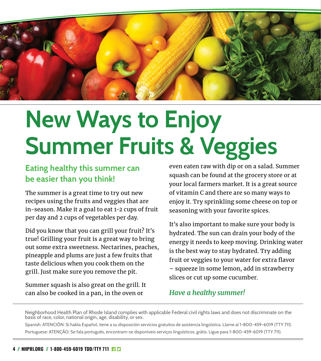

## **New Ways to Enjoy Summer Fruits & Veggies**

#### **Eating healthy this summer can be easier than you think!**

The summer is a great time to try out new recipes using the fruits and veggies that are in-season. Make it a goal to eat 1-2 cups of fruit per day and 2 cups of vegetables per day.

Did you know that you can grill your fruit? It's true! Grilling your fruit is a great way to bring out some extra sweetness. Nectarines, peaches, pineapple and plums are just a few fruits that taste delicious when you cook them on the grill. Just make sure you remove the pit.

Summer squash is also great on the grill. It can also be cooked in a pan, in the oven or

even eaten raw with dip or on a salad. Summer squash can be found at the grocery store or at your local farmers market. It is a great source of vitamin C and there are so many ways to enjoy it. Try sprinkling some cheese on top or seasoning with your favorite spices.

It's also important to make sure your body is hydrated. The sun can drain your body of the energy it needs to keep moving. Drinking water is the best way to stay hydrated. Try adding fruit or veggies to your water for extra flavor – squeeze in some lemon, add in strawberry slices or cut up some cucumber.

#### *Have a healthy summer!*

Neighborhood Health Plan of Rhode Island complies with applicable Federal civil rights laws and does not discriminate on the basis of race, color, national origin, age, disability, or sex.

Spanish: ATENCIÓN: Si habla Español, tiene a su disposición servicios gratuitos de asistencia lingüística. Llame al 1-800-459-6019 (TTY 711). Portuguese: ATENÇÃO: Se fala português, encontram-se disponíveis serviços linguísticos, grátis. Ligue para 1-800-459-6019 (TTY 711).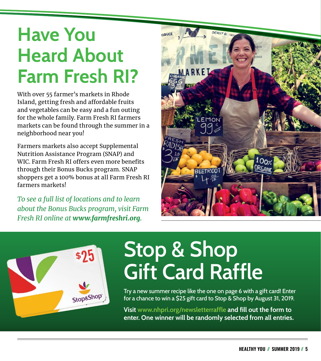## **Have You Heard About Farm Fresh RI?**

With over 55 farmer's markets in Rhode Island, getting fresh and affordable fruits and vegetables can be easy and a fun outing for the whole family. Farm Fresh RI farmers markets can be found through the summer in a neighborhood near you!

Farmers markets also accept Supplemental Nutrition Assistance Program (SNAP) and WIC. Farm Fresh RI offers even more benefits through their Bonus Bucks program. SNAP shoppers get a 100% bonus at all Farm Fresh RI farmers markets!

*To see a full list of locations and to learn about the Bonus Bucks program, visit Farm Fresh RI online at [www.farmfreshri.org](https://www.farmfreshri.org/).*





## **Stop & Shop Gift Card Raffle**

Try a new summer recipe like the one on page 6 with a gift card! Enter for a chance to win a \$25 gift card to Stop & Shop by August 31, 2019.

**Visit [www.nhpri.org/newsletterraffle](http://www.nhpri.org/newsletterraffle) and fill out the form to enter. One winner will be randomly selected from all entries.**